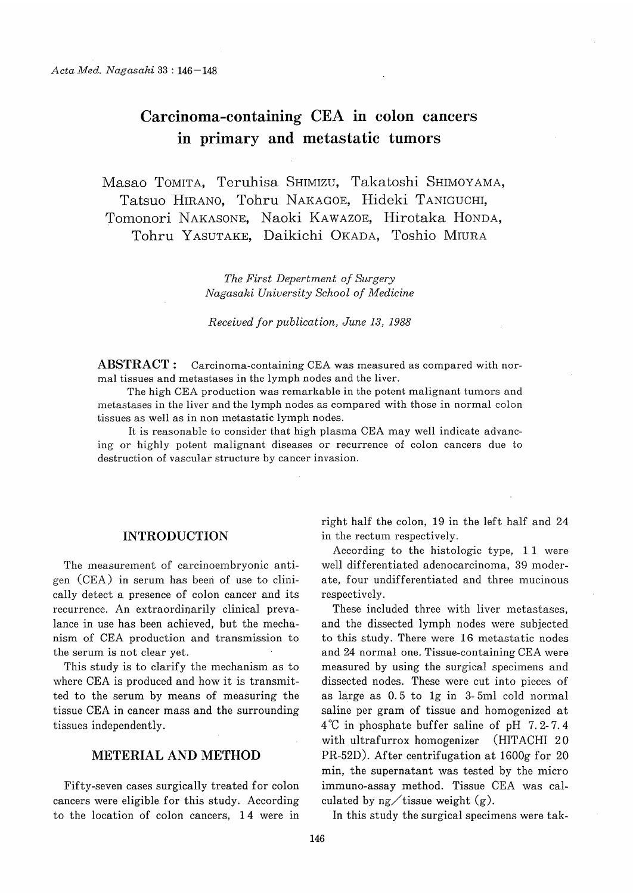# Carcinoma-containing CEA in colon cancers in primary and metastatic tumors

Masao TOMITA, Teruhisa SHIMIZU, Takatoshi SHIMOYAMA, Tatsuo HIRANO, Tohru NAKAGOE, Hideki TANIGUCHI, Tomonori NAKASONE, Naoki KAWAZOE, Hirotaka HONDA, Tohru YASUTAKE, Daikichi OKADA, Toshio MIURA

> The First Depertment of Surgery Nagasaki University School of Medicine

Received for publication, June 13, 1988

ABSTRACT: Carcinoma-containing CEA was measured as compared with normal tissues and metastases in the lymph nodes and the liver.

The high CEA production was remarkable in the potent malignant tumors and metastases in the liver and the lymph nodes as compared with those in normal colon tissues as well as in non metastatic lymph nodes.

It is reasonable to consider that high plasma CEA may well indicate advancing or highly potent malignant diseases or recurrence of colon cancers due to destruction of vascular structure by cancer invasion.

### INTRODUCTION

The measurement of carcinoembryonic antigen (CEA) in serum has been of use to clinically detect a presence of colon cancer and its recurrence. An extraordinarily clinical prevalance in use has been achieved, but the mechanism of CEA production and transmission to the serum is not clear yet.

This study is to clarify the mechanism as to where CEA is produced and how it is transmitted to the serum by means of measuring the tissue CEA in cancer mass and the surrounding tissues independently.

## METERIAL AND METHOD

Fifty-seven cases surgically treated for colon cancers were eligible for this study. According to the location of colon cancers, 14 were in right half the colon, 19 in the left half and 24 in the rectum respectively.

According to the histologic type, 11 were well differentiated adenocarcinoma, 39 moderate, four undifferentiated and three mucinous respectively.

These included three with liver metastases, and the dissected lymph nodes were subjected to this study. There were 16 metastatic nodes and 24 normal one. Tissue-containing CEA were measured by using the surgical specimens and dissected nodes. These were cut into pieces of as large as 0. 5 to 1g in 3- 5ml cold normal saline per gram of tissue and homogenized at 4°C in phosphate buffer saline of pH 7.2-7.4 with ultrafurrox homogenizer (HITACHI 20 PR-52D). After centrifugation at 1600g for 20 min, the supernatant was tested by the micro immuno-assay method. Tissue CEA was calculated by  $n\alpha$  tissue weight  $(\alpha)$ .

In this study the surgical specimens were tak-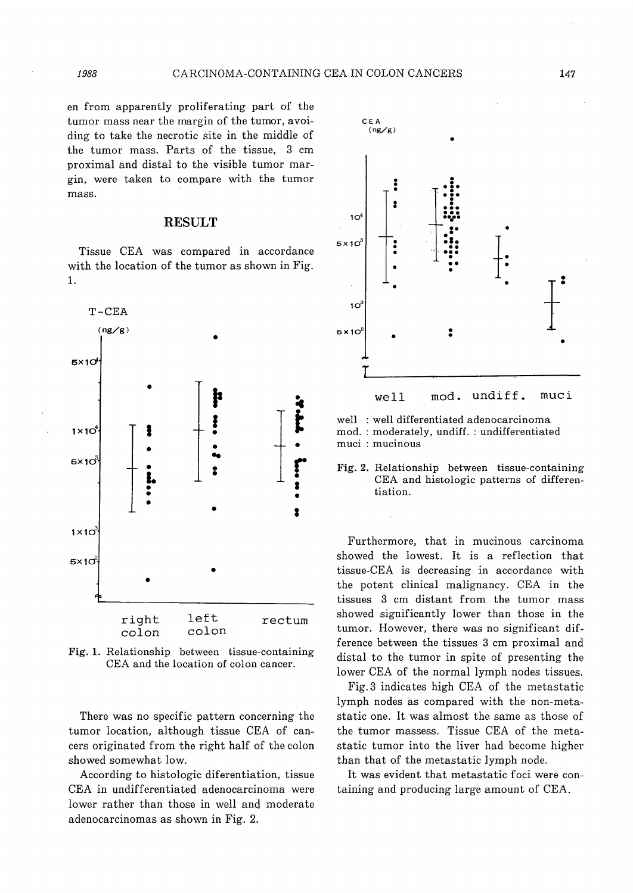en from apparently proliferating part of the tumor mass near the margin of the tumor, avoiding to take the necrotic site in the middle of the tumor mass. Parts of the tissue, 3 cm proximal and distal to the visible tumor margin, were taken to compare with the tumor mass.

# RESULT

Tissue CEA was compared in accordance with the location of the tumor as shown in Fig. 1.



Fig. 1. Relationship between tissue-containing CEA and the location of colon cancer.

There was no specific pattern concerning the tumor location, although tissue CEA of cancers originated from the right half of the colon showed somewhat low.

According to histologic diferentiation, tissue CEA in undifferentiated adenocarcinoma were lower rather than those in well and moderate adenocarcinomas as shown in Fig. 2.



well : well differentiated adenocarcinoma mod.: moderately, undiff. : undifferentiated muci : mucinous

Fig. 2. Relationship between tissue-containing CEA and histologic patterns of differentiation.

Furthermore, that in mucinous carcinoma showed the lowest. It is a reflection that tissue-CEA is decreasing in accordance with the potent clinical malignancy. CEA in the tissues 3 cm distant from the tumor mass showed significantly lower than those in the tumor. However, there was no significant difference between the tissues 3 cm proximal and distal to the tumor in spite of presenting the lower CEA of the normal lymph nodes tissues.

Fig.3 indicates high CEA of the metastatic lymph nodes as compared with the non-metastatic one. It was almost the same as those of the tumor massess. Tissue CEA of the metastatic tumor into the liver had become higher than that of the metastatic lymph node.

It was evident that metastatic foci were containing and producing large amount of CEA.